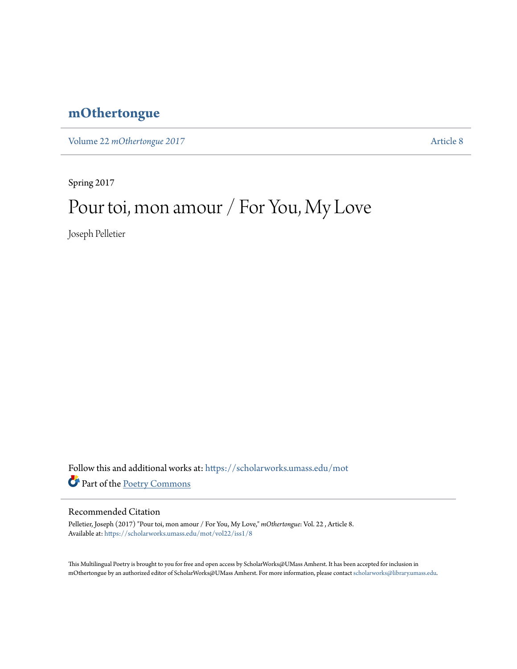## **[mOthertongue](https://scholarworks.umass.edu/mot?utm_source=scholarworks.umass.edu%2Fmot%2Fvol22%2Fiss1%2F8&utm_medium=PDF&utm_campaign=PDFCoverPages)**

Volume 22 *mOthertongue* 2017

Spring 2017

## Pour toi, mon amour / For You, My Love

Joseph Pelletier

Follow this and additional works at: [https://scholarworks.umass.edu/mot](https://scholarworks.umass.edu/mot?utm_source=scholarworks.umass.edu%2Fmot%2Fvol22%2Fiss1%2F8&utm_medium=PDF&utm_campaign=PDFCoverPages) Part of the [Poetry Commons](http://network.bepress.com/hgg/discipline/1153?utm_source=scholarworks.umass.edu%2Fmot%2Fvol22%2Fiss1%2F8&utm_medium=PDF&utm_campaign=PDFCoverPages)

## Recommended Citation

Pelletier, Joseph (2017) "Pour toi, mon amour / For You, My Love," *mOthertongue*: Vol. 22 , Article 8. Available at: [https://scholarworks.umass.edu/mot/vol22/iss1/8](https://scholarworks.umass.edu/mot/vol22/iss1/8?utm_source=scholarworks.umass.edu%2Fmot%2Fvol22%2Fiss1%2F8&utm_medium=PDF&utm_campaign=PDFCoverPages)

This Multilingual Poetry is brought to you for free and open access by ScholarWorks@UMass Amherst. It has been accepted for inclusion in mOthertongue by an authorized editor of ScholarWorks@UMass Amherst. For more information, please contact [scholarworks@library.umass.edu](mailto:scholarworks@library.umass.edu).